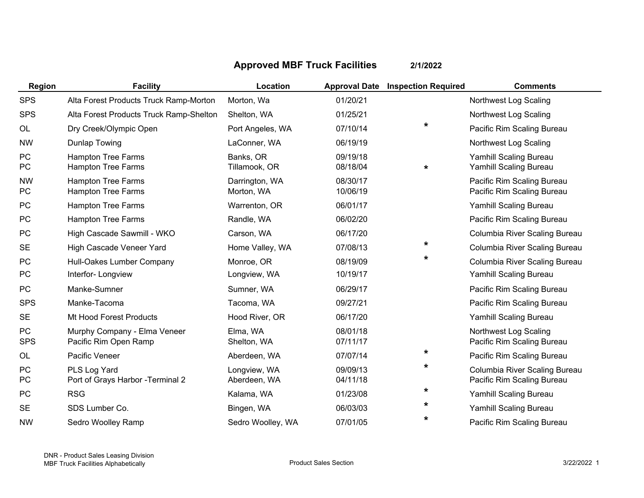## **Approved MBF Truck Facilities 2/1/2022**

| Region           | <b>Facility</b>                                        | Location                     |                      | <b>Approval Date Inspection Required</b> | <b>Comments</b>                                             |
|------------------|--------------------------------------------------------|------------------------------|----------------------|------------------------------------------|-------------------------------------------------------------|
| <b>SPS</b>       | Alta Forest Products Truck Ramp-Morton                 | Morton, Wa                   | 01/20/21             |                                          | Northwest Log Scaling                                       |
| <b>SPS</b>       | Alta Forest Products Truck Ramp-Shelton                | Shelton, WA                  | 01/25/21             |                                          | Northwest Log Scaling                                       |
| OL               | Dry Creek/Olympic Open                                 | Port Angeles, WA             | 07/10/14             | $\star$                                  | Pacific Rim Scaling Bureau                                  |
| <b>NW</b>        | Dunlap Towing                                          | LaConner, WA                 | 06/19/19             |                                          | Northwest Log Scaling                                       |
| PC<br>PC         | <b>Hampton Tree Farms</b><br><b>Hampton Tree Farms</b> | Banks, OR<br>Tillamook, OR   | 09/19/18<br>08/18/04 | *                                        | Yamhill Scaling Bureau<br>Yamhill Scaling Bureau            |
| <b>NW</b><br>PC  | <b>Hampton Tree Farms</b><br><b>Hampton Tree Farms</b> | Darrington, WA<br>Morton, WA | 08/30/17<br>10/06/19 |                                          | Pacific Rim Scaling Bureau<br>Pacific Rim Scaling Bureau    |
| <b>PC</b>        | <b>Hampton Tree Farms</b>                              | Warrenton, OR                | 06/01/17             |                                          | Yamhill Scaling Bureau                                      |
| PC               | <b>Hampton Tree Farms</b>                              | Randle, WA                   | 06/02/20             |                                          | Pacific Rim Scaling Bureau                                  |
| PC               | High Cascade Sawmill - WKO                             | Carson, WA                   | 06/17/20             |                                          | Columbia River Scaling Bureau                               |
| <b>SE</b>        | High Cascade Veneer Yard                               | Home Valley, WA              | 07/08/13             | *                                        | Columbia River Scaling Bureau                               |
| <b>PC</b>        | Hull-Oakes Lumber Company                              | Monroe, OR                   | 08/19/09             | *                                        | Columbia River Scaling Bureau                               |
| PC               | Interfor-Longview                                      | Longview, WA                 | 10/19/17             |                                          | Yamhill Scaling Bureau                                      |
| <b>PC</b>        | Manke-Sumner                                           | Sumner, WA                   | 06/29/17             |                                          | Pacific Rim Scaling Bureau                                  |
| <b>SPS</b>       | Manke-Tacoma                                           | Tacoma, WA                   | 09/27/21             |                                          | Pacific Rim Scaling Bureau                                  |
| <b>SE</b>        | Mt Hood Forest Products                                | Hood River, OR               | 06/17/20             |                                          | Yamhill Scaling Bureau                                      |
| PC<br><b>SPS</b> | Murphy Company - Elma Veneer<br>Pacific Rim Open Ramp  | Elma, WA<br>Shelton, WA      | 08/01/18<br>07/11/17 |                                          | Northwest Log Scaling<br>Pacific Rim Scaling Bureau         |
| OL               | Pacific Veneer                                         | Aberdeen, WA                 | 07/07/14             | *                                        | Pacific Rim Scaling Bureau                                  |
| PC<br>PC         | PLS Log Yard<br>Port of Grays Harbor - Terminal 2      | Longview, WA<br>Aberdeen, WA | 09/09/13<br>04/11/18 | *                                        | Columbia River Scaling Bureau<br>Pacific Rim Scaling Bureau |
| PC               | <b>RSG</b>                                             | Kalama, WA                   | 01/23/08             | *                                        | Yamhill Scaling Bureau                                      |
| <b>SE</b>        | SDS Lumber Co.                                         | Bingen, WA                   | 06/03/03             | *                                        | Yamhill Scaling Bureau                                      |
| <b>NW</b>        | Sedro Woolley Ramp                                     | Sedro Woolley, WA            | 07/01/05             | *                                        | Pacific Rim Scaling Bureau                                  |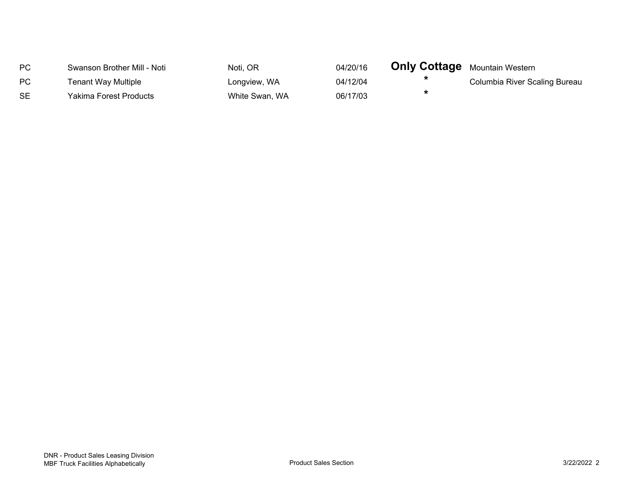| PC. | Swanson Brother Mill - Noti | Noti, OR       | 04/20/16 | <b>Only Cottage</b> Mountain Western |                               |
|-----|-----------------------------|----------------|----------|--------------------------------------|-------------------------------|
| PC  | Tenant Way Multiple         | Longview, WA   | 04/12/04 |                                      | Columbia River Scaling Bureau |
| SE. | Yakima Forest Products      | White Swan, WA | 06/17/03 |                                      |                               |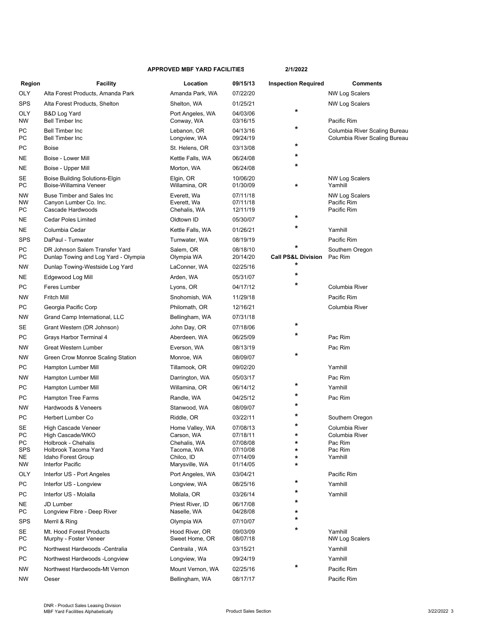## **APPROVED MBF YARD FACILITIES 2/1/2022**

| Region                      | <b>Facility</b>                                                                                              | Location                                                                  | 09/15/13                                                 | <b>Inspection Required</b>               | <b>Comments</b>                                                   |
|-----------------------------|--------------------------------------------------------------------------------------------------------------|---------------------------------------------------------------------------|----------------------------------------------------------|------------------------------------------|-------------------------------------------------------------------|
| OLY                         | Alta Forest Products, Amanda Park                                                                            | Amanda Park, WA                                                           | 07/22/20                                                 |                                          | <b>NW Log Scalers</b>                                             |
| SPS                         | Alta Forest Products, Shelton                                                                                | Shelton, WA                                                               | 01/25/21                                                 |                                          | <b>NW Log Scalers</b>                                             |
| OLY<br>ΝW                   | B&D Log Yard<br><b>Bell Timber Inc</b>                                                                       | Port Angeles, WA<br>Conway, WA                                            | 04/03/06<br>03/16/15                                     | $\star$                                  | Pacific Rim                                                       |
| РC<br>РC                    | <b>Bell Timber Inc.</b><br><b>Bell Timber Inc</b>                                                            | Lebanon, OR<br>Longview, WA                                               | 04/13/16<br>09/24/19                                     | *                                        | Columbia River Scaling Bureau<br>Columbia River Scaling Bureau    |
| РC                          | <b>Boise</b>                                                                                                 | St. Helens, OR                                                            | 03/13/08                                                 | *                                        |                                                                   |
| NΕ                          | Boise - Lower Mill                                                                                           | Kettle Falls, WA                                                          | 06/24/08                                                 | $\star$                                  |                                                                   |
| ΝE                          | Boise - Upper Mill                                                                                           | Morton, WA                                                                | 06/24/08                                                 | $\star$                                  |                                                                   |
| SE<br>РC                    | Boise Building Solutions-Elgin<br>Boise-Willamina Veneer                                                     | Elgin, OR<br>Willamina, OR                                                | 10/06/20<br>01/30/09                                     | $\star$                                  | <b>NW Log Scalers</b><br>Yamhill                                  |
| ΝW<br>NW<br>PС              | <b>Buse Timber and Sales Inc.</b><br>Canyon Lumber Co. Inc.<br>Cascade Hardwoods                             | Everett, Wa<br>Everett, Wa<br>Chehalis, WA                                | 07/11/18<br>07/11/18<br>12/11/19                         |                                          | <b>NW Log Scalers</b><br>Pacific Rim<br>Pacific Rim               |
| NE                          | <b>Cedar Poles Limited</b>                                                                                   | Oldtown ID                                                                | 05/30/07                                                 | *                                        |                                                                   |
| NΕ                          | Columbia Cedar                                                                                               | Kettle Falls, WA                                                          | 01/26/21                                                 | *                                        | Yamhill                                                           |
| SPS                         | DaPaul - Tumwater                                                                                            | Tumwater, WA                                                              | 08/19/19                                                 |                                          | Pacific Rim                                                       |
| РC<br>PС                    | DR Johnson Salem Transfer Yard<br>Dunlap Towing and Log Yard - Olympia                                       | Salem, OR<br>Olympia WA                                                   | 08/18/10<br>20/14/20                                     | $\star$<br><b>Call PS&amp;L Division</b> | Southern Oregon<br>Pac Rim                                        |
| ΝW                          | Dunlap Towing-Westside Log Yard                                                                              | LaConner, WA                                                              | 02/25/16                                                 | *                                        |                                                                   |
| NΕ                          | Edgewood Log Mill                                                                                            | Arden, WA                                                                 | 05/31/07                                                 | $\star$                                  |                                                                   |
| РC                          | Feres Lumber                                                                                                 | Lyons, OR                                                                 | 04/17/12                                                 | $\star$                                  | Columbia River                                                    |
| ΝW                          | Fritch Mill                                                                                                  | Snohomish, WA                                                             | 11/29/18                                                 |                                          | Pacific Rim                                                       |
| PC                          | Georgia Pacific Corp                                                                                         | Philomath, OR                                                             | 12/16/21                                                 |                                          | Columbia River                                                    |
| NW                          | Grand Camp International, LLC                                                                                | Bellingham, WA                                                            | 07/31/18                                                 |                                          |                                                                   |
| SE                          | Grant Western (DR Johnson)                                                                                   | John Day, OR                                                              | 07/18/06                                                 | *                                        |                                                                   |
| РC                          | Grays Harbor Terminal 4                                                                                      | Aberdeen, WA                                                              | 06/25/09                                                 | *                                        | Pac Rim                                                           |
| NW                          | Great Western Lumber                                                                                         | Everson, WA                                                               | 08/13/19                                                 |                                          | Pac Rim                                                           |
| ΝW                          | Green Crow Monroe Scaling Station                                                                            | Monroe, WA                                                                | 08/09/07                                                 | $\star$                                  |                                                                   |
| РC                          | Hampton Lumber Mill                                                                                          | Tillamook, OR                                                             | 09/02/20                                                 |                                          | Yamhill                                                           |
| NW                          | Hampton Lumber Mill                                                                                          | Darrington, WA                                                            | 05/03/17                                                 |                                          | Pac Rim                                                           |
| PС                          | Hampton Lumber Mill                                                                                          | Willamina, OR                                                             | 06/14/12                                                 | *                                        | Yamhill                                                           |
| PС                          | Hampton Tree Farms                                                                                           | Randle, WA                                                                | 04/25/12                                                 | *                                        | Pac Rim                                                           |
| ΝW                          | Hardwoods & Veneers                                                                                          | Stanwood, WA                                                              | 08/09/07                                                 | *                                        |                                                                   |
| PС                          | Herbert Lumber Co                                                                                            | Riddle, OR                                                                | 03/22/11                                                 | *                                        | Southern Oregon                                                   |
| SE<br>PС<br>РC<br>SPS<br>NE | High Cascade Veneer<br>High Cascade/WKO<br>Holbrook - Chehalis<br>Holbrook Tacoma Yard<br>Idaho Forest Group | Home Valley, WA<br>Carson, WA<br>Chehalis, WA<br>Tacoma, WA<br>Chilco, ID | 07/08/13<br>07/18/11<br>07/08/08<br>07/10/08<br>07/14/09 | *<br>$\star$<br>$\star$<br>*             | Columbia River<br>Columbia River<br>Pac Rim<br>Pac Rim<br>Yamhill |
| NW                          | Interfor Pacific                                                                                             | Marysville, WA                                                            | 01/14/05                                                 | *                                        |                                                                   |
| OLY<br>PС                   | Interfor US - Port Angeles<br>Interfor US - Longview                                                         | Port Angeles, WA<br>Longview, WA                                          | 03/04/21<br>08/25/16                                     | *                                        | Pacific Rim<br>Yamhill                                            |
| РC                          | Interfor US - Molalla                                                                                        | Mollala, OR                                                               | 03/26/14                                                 | *                                        | Yamhill                                                           |
| ΝE                          | <b>JD Lumber</b>                                                                                             | Priest River, ID                                                          | 06/17/08                                                 | *                                        |                                                                   |
| PС                          | Longview Fibre - Deep River                                                                                  | Naselle, WA                                                               | 04/28/08                                                 | *                                        |                                                                   |
| SPS                         | Merril & Ring                                                                                                | Olympia WA                                                                | 07/10/07                                                 | *                                        |                                                                   |
| SE<br>PС                    | Mt. Hood Forest Products<br>Murphy - Foster Veneer                                                           | Hood River, OR<br>Sweet Home, OR                                          | 09/03/09<br>08/07/18                                     | *                                        | Yamhill<br><b>NW Log Scalers</b>                                  |
| РC                          | Northwest Hardwoods -Centralia                                                                               | Centraila, WA                                                             | 03/15/21                                                 |                                          | Yamhill                                                           |
| РC                          | Northwest Hardwoods -Longview                                                                                | Longview, Wa                                                              | 09/24/19                                                 |                                          | Yamhill                                                           |
| NW                          | Northwest Hardwoods-Mt Vernon                                                                                | Mount Vernon, WA                                                          | 02/25/16                                                 | $\star$                                  | Pacific Rim                                                       |
| NW                          | Oeser                                                                                                        | Bellingham, WA                                                            | 08/17/17                                                 |                                          | Pacific Rim                                                       |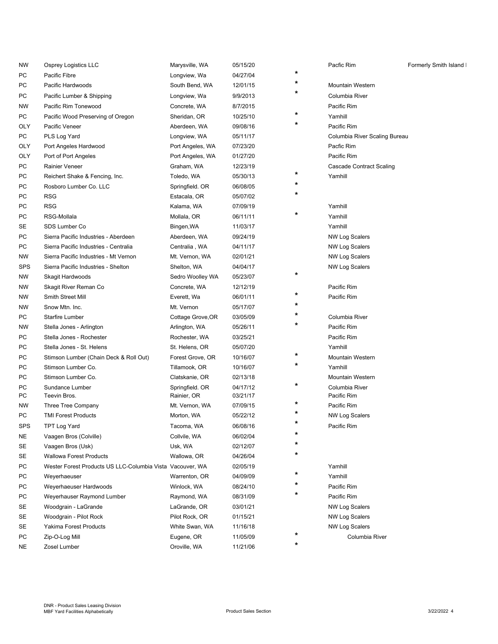| ΝW  | Osprey Logistics LLC                                      | Marysville, WA    | 05/15/20 |         | Pacfic Rim                      | Formerly Smith Island I |
|-----|-----------------------------------------------------------|-------------------|----------|---------|---------------------------------|-------------------------|
| PС  | Pacific Fibre                                             | Longview, Wa      | 04/27/04 | *       |                                 |                         |
| PС  | Pacific Hardwoods                                         | South Bend, WA    | 12/01/15 | *       | <b>Mountain Western</b>         |                         |
| PС  | Pacific Lumber & Shipping                                 | Longview, Wa      | 9/9/2013 | *       | Columbia River                  |                         |
| NW  | Pacific Rim Tonewood                                      | Concrete, WA      | 8/7/2015 |         | Pacific Rim                     |                         |
| PС  | Pacific Wood Preserving of Oregon                         | Sheridan, OR      | 10/25/10 | *       | Yamhill                         |                         |
| OLY | Pacific Veneer                                            | Aberdeen, WA      | 09/08/16 |         | Pacific Rim                     |                         |
| РC  | PLS Log Yard                                              | Longview, WA      | 05/11/17 |         | Columbia River Scaling Bureau   |                         |
| OLY | Port Angeles Hardwood                                     | Port Angeles, WA  | 07/23/20 |         | Pacfic Rim                      |                         |
| OLY | Port of Port Angeles                                      | Port Angeles, WA  | 01/27/20 |         | Pacific Rim                     |                         |
| PС  | Rainier Veneer                                            | Graham, WA        | 12/23/19 |         | <b>Cascade Contract Scaling</b> |                         |
| PС  | Reichert Shake & Fencing, Inc.                            | Toledo, WA        | 05/30/13 | *       | Yamhill                         |                         |
| PС  | Rosboro Lumber Co. LLC                                    | Springfield. OR   | 06/08/05 | $\ast$  |                                 |                         |
| PС  | RSG                                                       | Estacala, OR      | 05/07/02 | *       |                                 |                         |
| PС  | <b>RSG</b>                                                | Kalama, WA        | 07/09/19 |         | Yamhill                         |                         |
| РC  | RSG-Mollala                                               | Mollala, OR       | 06/11/11 | *       | Yamhill                         |                         |
| SE  | SDS Lumber Co                                             | Bingen, WA        | 11/03/17 |         | Yamhill                         |                         |
| PС  | Sierra Pacific Industries - Aberdeen                      | Aberdeen, WA      | 09/24/19 |         | NW Log Scalers                  |                         |
| PС  | Sierra Pacific Industries - Centralia                     | Centralia, WA     | 04/11/17 |         | <b>NW Log Scalers</b>           |                         |
| NW  | Sierra Pacific Industries - Mt Vernon                     | Mt. Vernon, WA    | 02/01/21 |         | <b>NW Log Scalers</b>           |                         |
| SPS | Sierra Pacific Industries - Shelton                       | Shelton, WA       | 04/04/17 |         | <b>NW Log Scalers</b>           |                         |
| NW  | Skagit Hardwoods                                          | Sedro Woolley WA  | 05/23/07 | *       |                                 |                         |
| NW  | Skagit River Reman Co                                     | Concrete, WA      | 12/12/19 |         | Pacific Rim                     |                         |
| NW  | Smith Street Mill                                         | Everett, Wa       | 06/01/11 | *       | Pacific Rim                     |                         |
| NW  | Snow Mtn. Inc.                                            | Mt. Vernon        | 05/17/07 | *       |                                 |                         |
| PС  | Starfire Lumber                                           | Cottage Grove, OR | 03/05/09 | *       | Columbia River                  |                         |
| NW  | Stella Jones - Arlington                                  | Arlington, WA     | 05/26/11 | $\ast$  | Pacific Rim                     |                         |
| PС  | Stella Jones - Rochester                                  | Rochester, WA     | 03/25/21 |         | Pacific Rim                     |                         |
| PС  | Stella Jones - St. Helens                                 | St. Helens, OR    | 05/07/20 |         | Yamhill                         |                         |
| PС  | Stimson Lumber (Chain Deck & Roll Out)                    | Forest Grove, OR  | 10/16/07 | *       | Mountain Western                |                         |
| PС  | Stimson Lumber Co.                                        | Tillamook, OR     | 10/16/07 | $\star$ | Yamhill                         |                         |
| PС  | Stimson Lumber Co.                                        | Clatskanie, OR    | 02/13/18 |         | <b>Mountain Western</b>         |                         |
| PС  | Sundance Lumber                                           | Springfield. OR   | 04/17/12 | *       | Columbia River                  |                         |
| PС  | Teevin Bros.                                              | Rainier, OR       | 03/21/17 |         | Pacific Rim                     |                         |
| NW  | Three Tree Company                                        | Mt. Vernon, WA    | 07/09/15 | *       | Pacific Rim                     |                         |
| PС  | <b>TMI Forest Products</b>                                | Morton, WA        | 05/22/12 |         | <b>NW Log Scalers</b>           |                         |
| SPS | <b>TPT Log Yard</b>                                       | Tacoma, WA        | 06/08/16 |         | Pacific Rim                     |                         |
| NE  | Vaagen Bros (Colville)                                    | Collvile, WA      | 06/02/04 | *       |                                 |                         |
| SE  | Vaagen Bros (Usk)                                         | Usk, WA           | 02/12/07 | $\ast$  |                                 |                         |
| SE  | Wallowa Forest Products                                   | Wallowa, OR       | 04/26/04 | *       |                                 |                         |
| РC  | Wester Forest Products US LLC-Columbia Vista Vacouver, WA |                   | 02/05/19 |         | Yamhill                         |                         |
| РC  | Weyerhaeuser                                              | Warrenton, OR     | 04/09/09 | *       | Yamhill                         |                         |
| PС  | Weyerhaeuser Hardwoods                                    | Winlock, WA       | 08/24/10 | *       | Pacific Rim                     |                         |
| PС  | Weyerhauser Raymond Lumber                                | Raymond, WA       | 08/31/09 | *       | Pacific Rim                     |                         |
| SE  | Woodgrain - LaGrande                                      | LaGrande, OR      | 03/01/21 |         | <b>NW Log Scalers</b>           |                         |
| SE  | Woodgrain - Pilot Rock                                    | Pilot Rock, OR    | 01/15/21 |         | <b>NW Log Scalers</b>           |                         |
| SE  | Yakima Forest Products                                    | White Swan, WA    | 11/16/18 |         | <b>NW Log Scalers</b>           |                         |
| РC  | Zip-O-Log Mill                                            | Eugene, OR        | 11/05/09 | *       | Columbia River                  |                         |
| ΝE  | Zosel Lumber                                              | Oroville, WA      | 11/21/06 | *       |                                 |                         |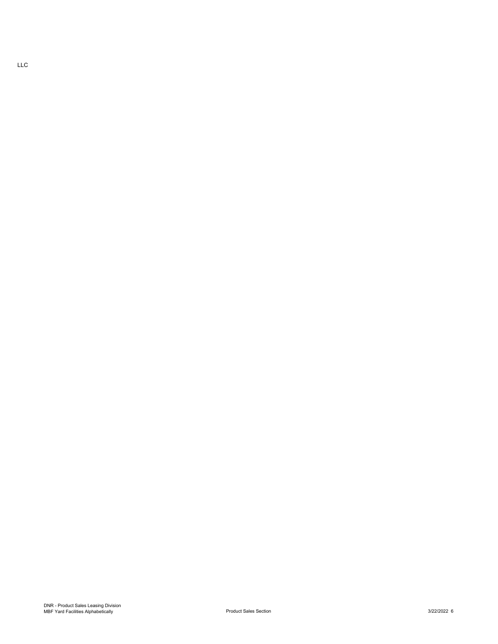LLC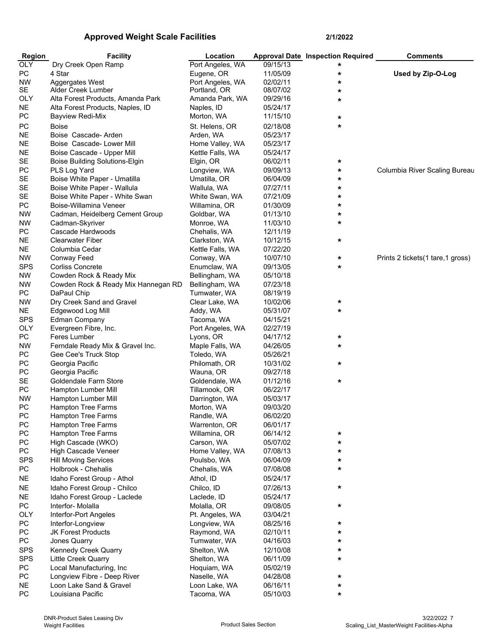## **Approved Weight Scale Facilities 2/1/2022**

| <b>Region</b> | <b>Facility</b>                                    | Location         |          | <b>Approval Date Inspection Required</b> | <b>Comments</b>                    |
|---------------|----------------------------------------------------|------------------|----------|------------------------------------------|------------------------------------|
| <b>OLY</b>    | Dry Creek Open Ramp                                | Port Angeles, WA | 09/15/13 | *                                        |                                    |
| PC            | 4 Star                                             | Eugene, OR       | 11/05/09 | *                                        | Used by Zip-O-Log                  |
| <b>NW</b>     | Aggergates West                                    | Port Angeles, WA | 02/02/11 | *                                        |                                    |
| SE            | Alder Creek Lumber                                 | Portland, OR     | 08/07/02 | *                                        |                                    |
| <b>OLY</b>    | Alta Forest Products, Amanda Park                  | Amanda Park, WA  | 09/29/16 | *                                        |                                    |
| <b>NE</b>     | Alta Forest Products, Naples, ID                   | Naples, ID       | 05/24/17 |                                          |                                    |
| PC            | Bayview Redi-Mix                                   | Morton, WA       | 11/15/10 | *                                        |                                    |
| PC            | <b>Boise</b>                                       | St. Helens, OR   | 02/18/08 | *                                        |                                    |
| NE            | Boise Cascade-Arden                                | Arden, WA        | 05/23/17 |                                          |                                    |
| <b>NE</b>     | Boise Cascade- Lower Mill                          | Home Valley, WA  | 05/23/17 |                                          |                                    |
| <b>NE</b>     | Boise Cascade - Upper Mill                         | Kettle Falls, WA | 05/24/17 |                                          |                                    |
| SE            | <b>Boise Building Solutions-Elgin</b>              | Elgin, OR        | 06/02/11 | *                                        |                                    |
| PC            | PLS Log Yard                                       | Longview, WA     | 09/09/13 | *                                        | Columbia River Scaling Bureau      |
| SE            | Boise White Paper - Umatilla                       | Umatilla, OR     | 06/04/09 | *                                        |                                    |
| SE            | Boise White Paper - Wallula                        | Wallula, WA      | 07/27/11 | *                                        |                                    |
| SE            | Boise White Paper - White Swan                     | White Swan, WA   | 07/21/09 | *                                        |                                    |
| ${\sf PC}$    | Boise-Willamina Veneer                             | Willamina, OR    | 01/30/09 | *                                        |                                    |
| <b>NW</b>     | Cadman, Heidelberg Cement Group                    | Goldbar, WA      | 01/13/10 | *                                        |                                    |
| <b>NW</b>     | Cadman-Skyriver                                    | Monroe, WA       | 11/03/10 | *                                        |                                    |
| PC            | Cascade Hardwoods                                  | Chehalis, WA     | 12/11/19 |                                          |                                    |
| <b>NE</b>     | <b>Clearwater Fiber</b>                            | Clarkston, WA    | 10/12/15 | *                                        |                                    |
| <b>NE</b>     | Columbia Cedar                                     | Kettle Falls, WA | 07/22/20 |                                          |                                    |
| <b>NW</b>     | <b>Conway Feed</b>                                 | Conway, WA       | 10/07/10 | *                                        | Prints 2 tickets (1 tare, 1 gross) |
| <b>SPS</b>    | <b>Corliss Concrete</b>                            | Enumclaw, WA     | 09/13/05 | *                                        |                                    |
| <b>NW</b>     | Cowden Rock & Ready Mix                            | Bellingham, WA   | 05/10/18 |                                          |                                    |
| <b>NW</b>     | Cowden Rock & Ready Mix Hannegan RD                | Bellingham, WA   | 07/23/18 |                                          |                                    |
| PC            | DaPaul Chip                                        | Tumwater, WA     | 08/19/19 |                                          |                                    |
| <b>NW</b>     | Dry Creek Sand and Gravel                          | Clear Lake, WA   | 10/02/06 | *                                        |                                    |
| NE.           | Edgewood Log Mill                                  | Addy, WA         | 05/31/07 | *                                        |                                    |
| <b>SPS</b>    | <b>Edman Company</b>                               | Tacoma, WA       | 04/15/21 |                                          |                                    |
| <b>OLY</b>    | Evergreen Fibre, Inc.                              | Port Angeles, WA | 02/27/19 |                                          |                                    |
| PC            | Feres Lumber                                       | Lyons, OR        | 04/17/12 | *                                        |                                    |
| <b>NW</b>     | Ferndale Ready Mix & Gravel Inc.                   | Maple Falls, WA  | 04/26/05 | *                                        |                                    |
| PC            | Gee Cee's Truck Stop                               | Toledo, WA       | 05/26/21 |                                          |                                    |
| PC            | Georgia Pacific                                    | Philomath, OR    | 10/31/02 | *                                        |                                    |
| PC            | Georgia Pacific                                    | Wauna, OR        | 09/27/18 |                                          |                                    |
| SE            | Goldendale Farm Store                              | Goldendale, WA   | 01/12/16 | *                                        |                                    |
| PC            | Hampton Lumber Mill                                | Tillamook, OR    | 06/22/17 |                                          |                                    |
| NW            | Hampton Lumber Mill                                | Darrington, WA   | 05/03/17 |                                          |                                    |
| PC            | <b>Hampton Tree Farms</b>                          | Morton, WA       | 09/03/20 |                                          |                                    |
| PC            | Hampton Tree Farms                                 | Randle, WA       | 06/02/20 |                                          |                                    |
| PC            | <b>Hampton Tree Farms</b>                          | Warrenton, OR    | 06/01/17 |                                          |                                    |
| PC            | <b>Hampton Tree Farms</b>                          | Willamina, OR    | 06/14/12 | *                                        |                                    |
| PC            | High Cascade (WKO)                                 | Carson, WA       | 05/07/02 | *                                        |                                    |
| PC            | High Cascade Veneer                                | Home Valley, WA  | 07/08/13 | *                                        |                                    |
| <b>SPS</b>    | <b>Hill Moving Services</b><br>Holbrook - Chehalis | Poulsbo, WA      | 06/04/09 | *<br>*                                   |                                    |
| PC            |                                                    | Chehalis, WA     | 07/08/08 |                                          |                                    |
| <b>NE</b>     | Idaho Forest Group - Athol                         | Athol, ID        | 05/24/17 |                                          |                                    |
| <b>NE</b>     | Idaho Forest Group - Chilco                        | Chilco, ID       | 07/26/13 | *                                        |                                    |
| <b>NE</b>     | Idaho Forest Group - Laclede                       | Laclede, ID      | 05/24/17 |                                          |                                    |
| PC            | Interfor- Molalla                                  | Molalla, OR      | 09/08/05 | $\star$                                  |                                    |
| <b>OLY</b>    | Interfor-Port Angeles                              | Pt. Angeles, WA  | 03/04/21 |                                          |                                    |
| PC            | Interfor-Longview                                  | Longview, WA     | 08/25/16 | *                                        |                                    |
| PC            | <b>JK Forest Products</b>                          | Raymond, WA      | 02/10/11 | *                                        |                                    |
| PC            | Jones Quarry                                       | Tumwater, WA     | 04/16/03 | *                                        |                                    |
| <b>SPS</b>    | Kennedy Creek Quarry                               | Shelton, WA      | 12/10/08 | *                                        |                                    |
| <b>SPS</b>    | <b>Little Creek Quarry</b>                         | Shelton, WA      | 06/11/09 | *                                        |                                    |
| PC            | Local Manufacturing, Inc                           | Hoquiam, WA      | 05/02/19 |                                          |                                    |
| PC            | Longview Fibre - Deep River                        | Naselle, WA      | 04/28/08 | *                                        |                                    |
| <b>NE</b>     | Loon Lake Sand & Gravel                            | Loon Lake, WA    | 06/16/11 | *                                        |                                    |
| <b>PC</b>     | Louisiana Pacific                                  | Tacoma, WA       | 05/10/03 | *                                        |                                    |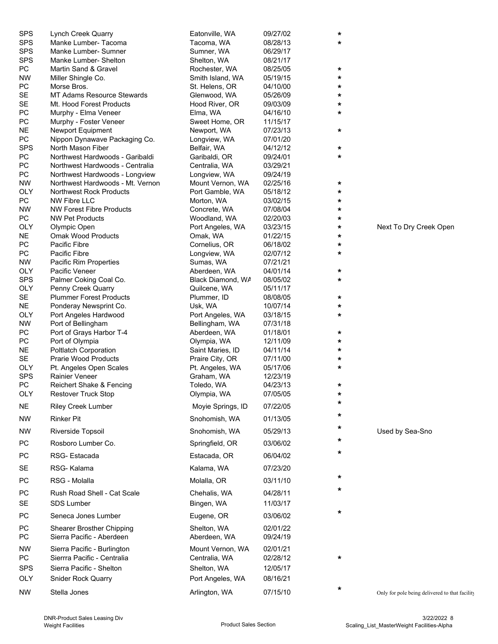| SPS        | Lynch Creek Quarry               | Eatonville, WA    | 09/27/02 | $\star$ |                                                |
|------------|----------------------------------|-------------------|----------|---------|------------------------------------------------|
| <b>SPS</b> | Manke Lumber- Tacoma             | Tacoma, WA        | 08/28/13 | *       |                                                |
| <b>SPS</b> | Manke Lumber- Sumner             | Sumner, WA        | 06/29/17 |         |                                                |
| <b>SPS</b> | Manke Lumber- Shelton            | Shelton, WA       | 08/21/17 |         |                                                |
| PC         | Martin Sand & Gravel             | Rochester, WA     | 08/25/05 | *       |                                                |
| <b>NW</b>  | Miller Shingle Co.               | Smith Island, WA  | 05/19/15 | *       |                                                |
| PC         | Morse Bros.                      | St. Helens, OR    | 04/10/00 | *       |                                                |
| SE         | MT Adams Resource Stewards       | Glenwood, WA      | 05/26/09 |         |                                                |
|            |                                  |                   |          | *       |                                                |
| <b>SE</b>  | Mt. Hood Forest Products         | Hood River, OR    | 09/03/09 | *       |                                                |
| PC         | Murphy - Elma Veneer             | Elma, WA          | 04/16/10 | *       |                                                |
| PC         | Murphy - Foster Veneer           | Sweet Home, OR    | 11/15/17 |         |                                                |
| <b>NE</b>  | Newport Equipment                | Newport, WA       | 07/23/13 | *       |                                                |
| PC         | Nippon Dynawave Packaging Co.    | Longview, WA      | 07/01/20 |         |                                                |
| <b>SPS</b> | North Mason Fiber                | Belfair, WA       | 04/12/12 | *       |                                                |
| PC         | Northwest Hardwoods - Garibaldi  | Garibaldi, OR     | 09/24/01 | *       |                                                |
| PC         | Northwest Hardwoods - Centralia  | Centralia, WA     | 03/29/21 |         |                                                |
| PC         | Northwest Hardwoods - Longview   | Longview, WA      | 09/24/19 |         |                                                |
| <b>NW</b>  | Northwest Hardwoods - Mt. Vernon | Mount Vernon, WA  | 02/25/16 | $\star$ |                                                |
| <b>OLY</b> | <b>Northwest Rock Products</b>   | Port Gamble, WA   | 05/18/12 | *       |                                                |
| PC         | <b>NW Fibre LLC</b>              | Morton, WA        | 03/02/15 | *       |                                                |
| NW         | <b>NW Forest Fibre Products</b>  | Concrete, WA      | 07/08/04 | *       |                                                |
| PC         | <b>NW Pet Products</b>           | Woodland, WA      | 02/20/03 | *       |                                                |
| <b>OLY</b> | Olympic Open                     | Port Angeles, WA  | 03/23/15 | *       | Next To Dry Creek Open                         |
| NE.        | <b>Omak Wood Products</b>        | Omak, WA          | 01/22/15 | *       |                                                |
| PC         | <b>Pacific Fibre</b>             | Cornelius, OR     | 06/18/02 | *       |                                                |
| PC         | Pacific Fibre                    | Longview, WA      | 02/07/12 | *       |                                                |
|            | Pacific Rim Properties           |                   | 07/21/21 |         |                                                |
| <b>NW</b>  |                                  | Sumas, WA         |          |         |                                                |
| <b>OLY</b> | Pacific Veneer                   | Aberdeen, WA      | 04/01/14 | *       |                                                |
| <b>SPS</b> | Palmer Coking Coal Co.           | Black Diamond, WA | 08/05/02 | *       |                                                |
| <b>OLY</b> | Penny Creek Quarry               | Quilcene, WA      | 05/11/17 |         |                                                |
| SE         | <b>Plummer Forest Products</b>   | Plummer, ID       | 08/08/05 | *       |                                                |
| <b>NE</b>  | Ponderay Newsprint Co.           | Usk, WA           | 10/07/14 | *       |                                                |
| <b>OLY</b> | Port Angeles Hardwood            | Port Angeles, WA  | 03/18/15 | *       |                                                |
| NW         | Port of Bellingham               | Bellingham, WA    | 07/31/18 |         |                                                |
| PС         | Port of Grays Harbor T-4         | Aberdeen, WA      | 01/18/01 | *       |                                                |
| PC         | Port of Olympia                  | Olympia, WA       | 12/11/09 | *       |                                                |
| <b>NE</b>  | <b>Poltlatch Corporation</b>     | Saint Maries, ID  | 04/11/14 | *       |                                                |
| SE         | <b>Prarie Wood Products</b>      | Praire City, OR   | 07/11/00 | *       |                                                |
| <b>OLY</b> | Pt. Angeles Open Scales          | Pt. Angeles, WA   | 05/17/06 | *       |                                                |
| <b>SPS</b> | Rainier Veneer                   | Graham, WA        | 12/23/19 |         |                                                |
| PC         | Reichert Shake & Fencing         | Toledo, WA        | 04/23/13 | *       |                                                |
| <b>OLY</b> | Restover Truck Stop              | Olympia, WA       | 07/05/05 | *       |                                                |
| <b>NE</b>  | <b>Riley Creek Lumber</b>        | Moyie Springs, ID | 07/22/05 | *       |                                                |
| <b>NW</b>  | <b>Rinker Pit</b>                | Snohomish, WA     | 01/13/05 | *       |                                                |
|            |                                  |                   |          | *       |                                                |
| <b>NW</b>  | Riverside Topsoil                | Snohomish, WA     | 05/29/13 | *       | Used by Sea-Sno                                |
| <b>PC</b>  | Rosboro Lumber Co.               | Springfield, OR   | 03/06/02 | *       |                                                |
| PC         | RSG-Estacada                     | Estacada, OR      | 06/04/02 |         |                                                |
| SE         | RSG-Kalama                       | Kalama, WA        | 07/23/20 |         |                                                |
| <b>PC</b>  | RSG - Molalla                    | Molalla, OR       | 03/11/10 | *       |                                                |
| PC         | Rush Road Shell - Cat Scale      | Chehalis, WA      | 04/28/11 | *       |                                                |
| SE         | SDS Lumber                       | Bingen, WA        | 11/03/17 |         |                                                |
| PC         | Seneca Jones Lumber              | Eugene, OR        | 03/06/02 | *       |                                                |
|            |                                  |                   |          |         |                                                |
| PC         | Shearer Brosther Chipping        | Shelton, WA       | 02/01/22 |         |                                                |
| PC         | Sierra Pacific - Aberdeen        | Aberdeen, WA      | 09/24/19 |         |                                                |
| <b>NW</b>  | Sierra Pacific - Burlington      | Mount Vernon, WA  | 02/01/21 |         |                                                |
| PC         | Sierrra Pacific - Centralia      | Centralia, WA     | 02/28/12 | *       |                                                |
| <b>SPS</b> | Sierra Pacific - Shelton         | Shelton, WA       | 12/05/17 |         |                                                |
| <b>OLY</b> | Snider Rock Quarry               | Port Angeles, WA  | 08/16/21 |         |                                                |
|            |                                  |                   |          | *       |                                                |
| <b>NW</b>  | Stella Jones                     | Arlington, WA     | 07/15/10 |         | Only for pole being delivered to that facility |